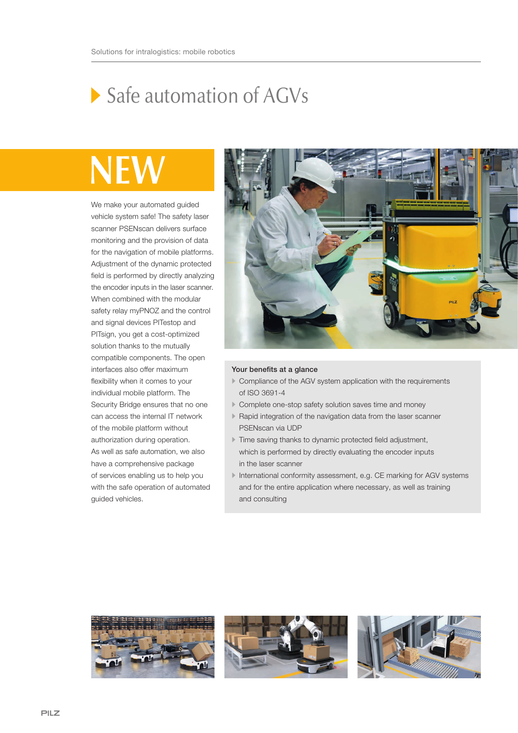## Safe automation of AGVs

## NE

We make your automated guided vehicle system safe! The safety laser scanner PSENscan delivers surface monitoring and the provision of data for the navigation of mobile platforms. Adjustment of the dynamic protected field is performed by directly analyzing the encoder inputs in the laser scanner. When combined with the modular safety relay myPNOZ and the control and signal devices PITestop and PITsign, you get a cost-optimized solution thanks to the mutually compatible components. The open interfaces also offer maximum flexibility when it comes to your individual mobile platform. The Security Bridge ensures that no one can access the internal IT network of the mobile platform without authorization during operation. As well as safe automation, we also have a comprehensive package of services enabling us to help you with the safe operation of automated guided vehicles.



## Your benefits at a glance

- Compliance of the AGV system application with the requirements of ISO 3691-4
- Complete one-stop safety solution saves time and money
- Rapid integration of the navigation data from the laser scanner PSENscan via UDP
- Time saving thanks to dynamic protected field adjustment, which is performed by directly evaluating the encoder inputs in the laser scanner
- International conformity assessment, e.g. CE marking for AGV systems and for the entire application where necessary, as well as training and consulting